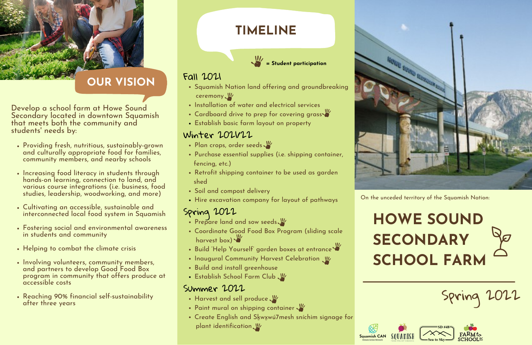- Squamish Nation land offering and groundbreaking ceremony
- Installation of water and electrical services
- Cardboard drive to prep for covering grass
- Establish basic farm layout on property

#### Fall 2021

### Winter 2021/22

- Plan crops, order seeds
- Purchase essential supplies (i.e. shipping container, fencing, etc.)
- Retrofit shipping container to be used as garden shed
- Soil and compost delivery
- Hire excavation company for layout of pathways

#### Spring 2022

- Prepare land and sow seeds.
- Coordinate Good Food Box Program (sliding scale harvest box)
- Build 'Help Yourself' garden boxes at entrance
- Inaugural Community Harvest Celebration
- Build and install greenhouse
- **Establish School Farm Club**

#### Summer 2022

- Harvest and sell produce
- Paint mural on shipping container
- Create English and Skwxwú7mesh sníchim signage for plant identification



# **HOWE SOUND SECONDARY SCHOOL FARM**



# Spring 2022





# **TIMELINE**



## **OUR VISION**

- Providing fresh, nutritious, sustainably-grown and culturally appropriate food for families, community members, and nearby schools
- Increasing food literacy in students through hands-on learning, connection to land, and various course integrations (i.e. business, food studies, leadership, woodworking, and more)
- Cultivating an accessible, sustainable and interconnected local food system in Squamish
- Fostering social and environmental awareness in students and community
- Helping to combat the climate crisis
- Involving volunteers, community members, and partners to develop Good Food Box program in community that offers produce at accessible costs
- Reaching 90% financial self-sustainability after three years

Develop a school farm at Howe Sound Secondary located in downtown Squamish that meets both the community and students 'needs by:



On the unceded territory of the Squamish Nation: